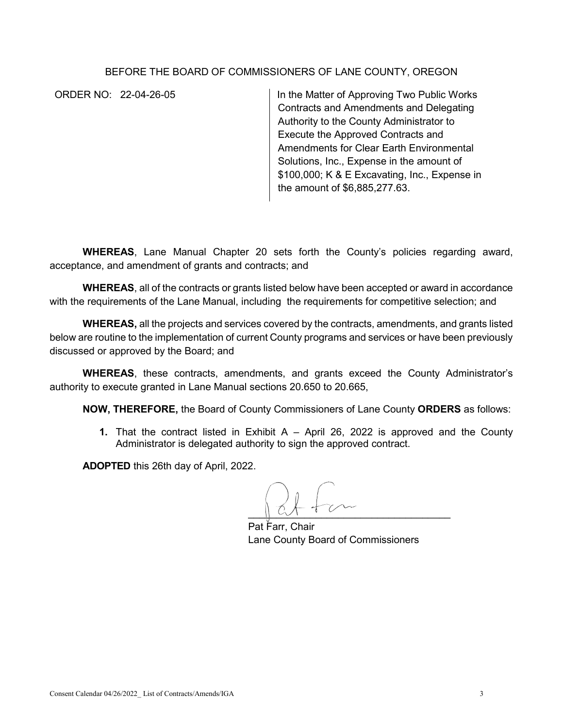## BEFORE THE BOARD OF COMMISSIONERS OF LANE COUNTY, OREGON

ORDER NO: 22-04-26-05 In the Matter of Approving Two Public Works Contracts and Amendments and Delegating Authority to the County Administrator to Execute the Approved Contracts and Amendments for Clear Earth Environmental Solutions, Inc., Expense in the amount of \$100,000; K & E Excavating, Inc., Expense in the amount of \$6,885,277.63.

**WHEREAS**, Lane Manual Chapter 20 sets forth the County's policies regarding award, acceptance, and amendment of grants and contracts; and

**WHEREAS**, all of the contracts or grants listed below have been accepted or award in accordance with the requirements of the Lane Manual, including the requirements for competitive selection; and

**WHEREAS,** all the projects and services covered by the contracts, amendments, and grants listed below are routine to the implementation of current County programs and services or have been previously discussed or approved by the Board; and

**WHEREAS**, these contracts, amendments, and grants exceed the County Administrator's authority to execute granted in Lane Manual sections 20.650 to 20.665,

**NOW, THEREFORE,** the Board of County Commissioners of Lane County **ORDERS** as follows:

**1.** That the contract listed in Exhibit A – April 26, 2022 is approved and the County Administrator is delegated authority to sign the approved contract.

**ADOPTED** this 26th day of April, 2022.

 $\cup$   $\cup$   $\cup$   $\cup$   $\cup$ 

Pat Farr, Chair Lane County Board of Commissioners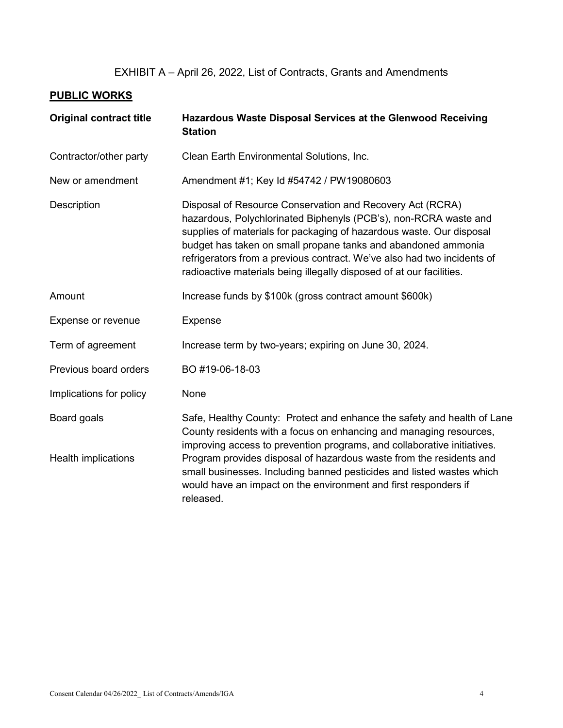## EXHIBIT A – April 26, 2022, List of Contracts, Grants and Amendments

## **PUBLIC WORKS**

| <b>Original contract title</b> | Hazardous Waste Disposal Services at the Glenwood Receiving<br><b>Station</b>                                                                                                                                                                                                                                                                                                                                             |
|--------------------------------|---------------------------------------------------------------------------------------------------------------------------------------------------------------------------------------------------------------------------------------------------------------------------------------------------------------------------------------------------------------------------------------------------------------------------|
| Contractor/other party         | Clean Earth Environmental Solutions, Inc.                                                                                                                                                                                                                                                                                                                                                                                 |
| New or amendment               | Amendment #1; Key Id #54742 / PW19080603                                                                                                                                                                                                                                                                                                                                                                                  |
| <b>Description</b>             | Disposal of Resource Conservation and Recovery Act (RCRA)<br>hazardous, Polychlorinated Biphenyls (PCB's), non-RCRA waste and<br>supplies of materials for packaging of hazardous waste. Our disposal<br>budget has taken on small propane tanks and abandoned ammonia<br>refrigerators from a previous contract. We've also had two incidents of<br>radioactive materials being illegally disposed of at our facilities. |
| Amount                         | Increase funds by \$100k (gross contract amount \$600k)                                                                                                                                                                                                                                                                                                                                                                   |
| Expense or revenue             | <b>Expense</b>                                                                                                                                                                                                                                                                                                                                                                                                            |
| Term of agreement              | Increase term by two-years; expiring on June 30, 2024.                                                                                                                                                                                                                                                                                                                                                                    |
| Previous board orders          | BO #19-06-18-03                                                                                                                                                                                                                                                                                                                                                                                                           |
| Implications for policy        | None                                                                                                                                                                                                                                                                                                                                                                                                                      |
| Board goals                    | Safe, Healthy County: Protect and enhance the safety and health of Lane<br>County residents with a focus on enhancing and managing resources,<br>improving access to prevention programs, and collaborative initiatives.                                                                                                                                                                                                  |
| Health implications            | Program provides disposal of hazardous waste from the residents and<br>small businesses. Including banned pesticides and listed wastes which<br>would have an impact on the environment and first responders if<br>released.                                                                                                                                                                                              |